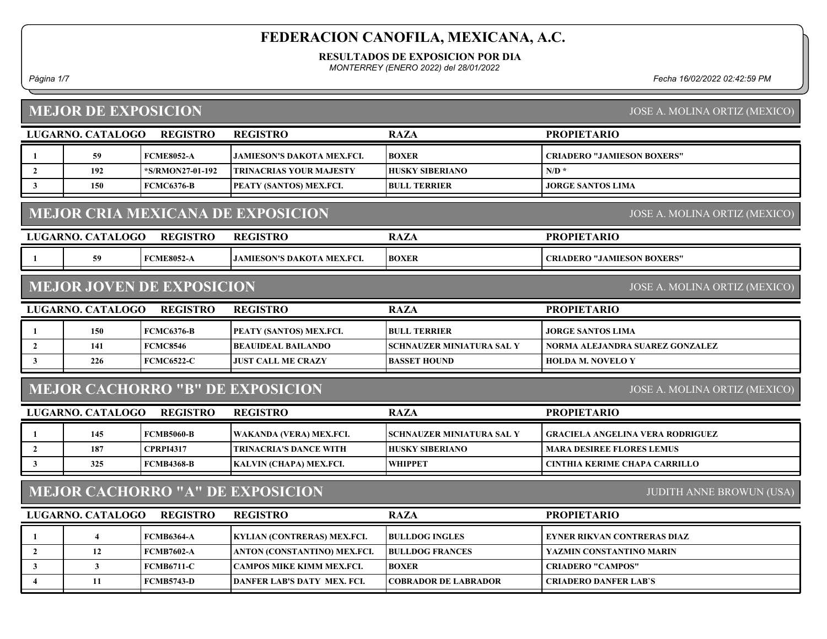#### RESULTADOS DE EXPOSICION POR DIA

MONTERREY (ENERO 2022) del 28/01/2022

#### Página 1/7 Fecha 16/02/2022 02:42:59 PM

#### LUGARNO. CATALOGO REGISTRO RAZA MEJOR DE EXPOSICION PROPIETARIO JOSE A. MOLINA ORTIZ (MEXICO) REGISTRO 1 59 FCME8052-A JAMIESON'S DAKOTA MEX.FCI. CRIADERO "JAMIESON BOXERS" BOXER 2 | 192 | \*S/RMON27-01-192 | TRINACRIAS YOUR MAJESTY | HUSKY SIBERIANO | N/D \* 3 150 FCMC6376-B PEATY (SANTOS) MEX.FCI. JORGE SANTOS LIMA BULL TERRIER LUGARNO. CATALOGO REGISTRO RAZA MEJOR CRIA MEXICANA DE EXPOSICION PROPIETARIO JOSE A. MOLINA ORTIZ (MEXICO) REGISTRO 1 59 FCME8052-A JAMIESON'S DAKOTA MEX.FCI. CRIADERO "JAMIESON BOXERS" BOXER LUGARNO. CATALOGO REGISTRO RAZA MEJOR JOVEN DE EXPOSICION PROPIETARIO JOSE A. MOLINA ORTIZ (MEXICO) REGISTRO 1 150 FCMC6376-B PEATY (SANTOS) MEX.FCI. BULL TERRIER JORGE SANTOS LIMA 2 141 FCMC8546 BEAUIDEAL BAILANDO SCHNAUZER MINIATURA SAL Y NORMA ALEJANDRA SUAREZ GONZALEZ 3 226 FCMC6522-C JUST CALL ME CRAZY HOLDA M. NOVELO Y BASSET HOUND LUGARNO. CATALOGO REGISTRO RAZA MEJOR CACHORRO "B" DE EXPOSICION PROPIETARIO JOSE A. MOLINA ORTIZ (MEXICO) REGISTRO 1 145 FCMB5060-B WAKANDA (VERA) MEX.FCI. SCHNAUZER MINIATURA SAL Y GRACIELA ANGELINA VERA RODRIGUEZ 2 187 CPRPI4317 TRINACRIA'S DANCE WITH HUSKY SIBERIANO MARA DESIREE FLORES LEMUS 3 325 FCMB4368-B KALVIN (CHAPA) MEX.FCI. CINTHIA KERIME CHAPA CARRILLO WHIPPET LUGARNO. CATALOGO REGISTRO RAZA MEJOR CACHORRO "A" DE EXPOSICION PROPIETARIO JUDITH ANNE BROWUN (USA) REGISTRO 1 4 FCMB6364-A KYLIAN (CONTRERAS) MEX.FCI. BULLDOG INGLES FEYNER RIKVAN CONTRERAS DIAZ 2 | 12 FEMB7602-A | ANTON (CONSTANTINO) MEX.FCI. | BULLDOG FRANCES | YAZMIN CONSTANTINO MARIN 3 FECMB6711-C CAMPOS MIKE KIMM MEX.FCI. BOXER CRIADERO "CAMPOS" 4 | 11 FCMB5743-D DANFER LAB'S DATY MEX. FCI. | COBRADOR DE LABRADOR | CRIADERO DANFER LAB`S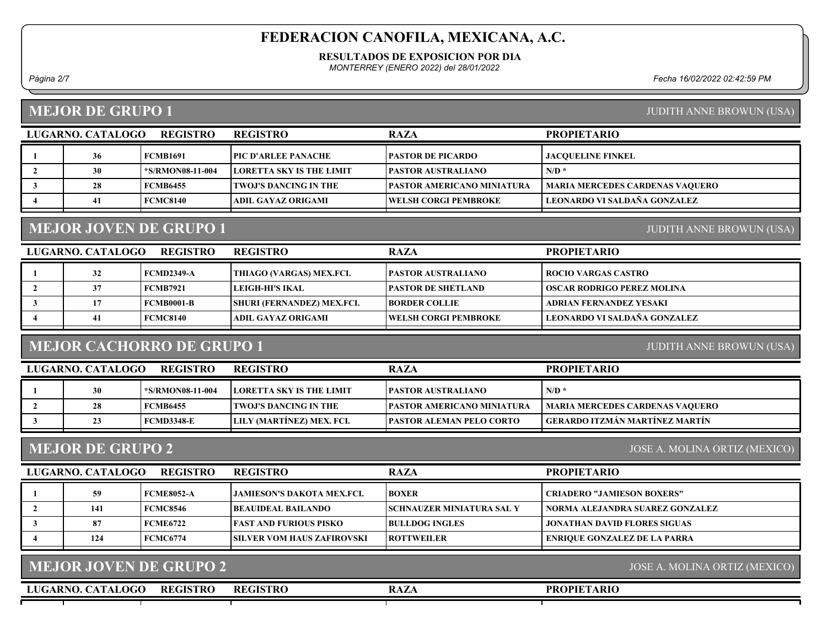#### RESULTADOS DE EXPOSICION POR DIA

MONTERREY (ENERO 2022) del 28/01/2022

Página 2/7 Fecha 16/02/2022 02:42:59 PM

## MEJOR DE GRUPO 1

| <b>JUDITH ANNE BROWUN (USA)</b> |  |  |
|---------------------------------|--|--|
|                                 |  |  |

| LUGARNO. CATALOGO | <b>REGISTRO</b>  | <b>REGISTRO</b>                 | <b>RAZA</b>                       | <b>PROPIETARIO</b>                     |
|-------------------|------------------|---------------------------------|-----------------------------------|----------------------------------------|
| 36                | FCMB1691         | <b>TPIC D'ARLEE PANACHE</b>     | <b>PASTOR DE PICARDO</b>          | <b>JACOUELINE FINKEL</b>               |
| 30                | *S/RMON08-11-004 | <b>LORETTA SKY IS THE LIMIT</b> | <b>PASTOR AUSTRALIANO</b>         | $N/D$ *                                |
| 28                | <b>FCMB6455</b>  | <b>TWOJ'S DANCING IN THE</b>    | <b>PASTOR AMERICANO MINIATURA</b> | <b>MARIA MERCEDES CARDENAS VAQUERO</b> |
|                   | <b>FCMC8140</b>  | ADIL GAYAZ ORIGAMI              | <b>TWELSH CORGI PEMBROKE</b>      | LEONARDO VI SALDAÑA GONZALEZ           |

# MEJOR JOVEN DE GRUPO 1

| LUGARNO. CATALOGO | <b>REGISTRO</b> | <b>REGISTRO</b>                   | <b>RAZA</b>                | <b>PROPIETARIO</b>                |
|-------------------|-----------------|-----------------------------------|----------------------------|-----------------------------------|
| 32                | FCMD2349-A      | THIAGO (VARGAS) MEX.FCI.          | <b>IPASTOR AUSTRALIANO</b> | ROCIO VARGAS CASTRO               |
|                   | FCMB7921        | LEIGH-HI'S IKAL                   | <b>IPASTOR DE SHETLAND</b> | <b>OSCAR RODRIGO PEREZ MOLINA</b> |
|                   | FCMB0001-B      | <b>SHURI (FERNANDEZ) MEX.FCI.</b> | <b>IBORDER COLLIE</b>      | ADRIAN FERNANDEZ YESAKI           |
| 41                | FCMC8140        | ADIL GAYAZ ORIGAMI                | WELSH CORGI PEMBROKE       | LEONARDO VI SALDAÑA GONZALEZ      |
|                   |                 |                                   |                            |                                   |

## MEJOR CACHORRO DE GRUPO 1

JUDITH ANNE BROWUN (USA)

JUDITH ANNE BROWUN (USA)

| LUGARNO. CATALOGO | REGISTRO         | <b>REGISTRO</b>                  | <b>RAZA</b>                        | <b>PROPIETARIO</b>                     |
|-------------------|------------------|----------------------------------|------------------------------------|----------------------------------------|
| 30                | *S/RMON08-11-004 | <b>ILORETTA SKY IS THE LIMIT</b> | <b>IPASTOR AUSTRALIANO</b>         | $N/D$ *                                |
| 28                | FCMB6455         | I TWOJ'S DANCING IN THE          | <b>IPASTOR AMERICANO MINIATURA</b> | <b>MARIA MERCEDES CARDENAS VAQUERO</b> |
| 23                | FCMD3348-E       | LILY (MARTINEZ) MEX. FCI.        | <b>IPASTOR ALEMAN PELO CORTO</b>   | GERARDO ITZMÁN MARTÍNEZ MARTÍN         |

## MEJOR DE GRUPO 2

JOSE A. MOLINA ORTIZ (MEXICO)

| LUGARNO. CATALOGO | <b>REGISTRO</b> | <b>REGISTRO</b>                | <b>RAZA</b>                       | <b>PROPIETARIO</b>                  |
|-------------------|-----------------|--------------------------------|-----------------------------------|-------------------------------------|
| 59                | FCME8052-A      | LIAMIESON'S DAKOTA MEX.FCL     | <b>BOXER</b>                      | <b>CRIADERO "JAMIESON BOXERS"</b>   |
| 141               | FCMC8546        | <b>BEAUIDEAL BAILANDO</b>      | <b>ISCHNAUZER MINIATURA SAL Y</b> | NORMA ALEJANDRA SUAREZ GONZALEZ     |
| 87                | FCME6722        | <b>IFAST AND FURIOUS PISKO</b> | <b>BULLDOG INGLES</b>             | JONATHAN DAVID FLORES SIGUAS        |
| 124               | FCMC6774        | ISILVER VOM HAUS ZAFIROVSKI    | <b>IROTTWEILER</b>                | <b>ENRIQUE GONZALEZ DE LA PARRA</b> |

| MEJOR JOVEN DE GRUPO 2               | JOSE A. MOLINA ORTIZ (MEXICO) |             |                    |
|--------------------------------------|-------------------------------|-------------|--------------------|
| LUGARNO. CATALOGO<br><b>REGISTRO</b> | <b>REGISTRO</b>               | <b>RAZA</b> | <b>PROPIETARIO</b> |
|                                      |                               |             |                    |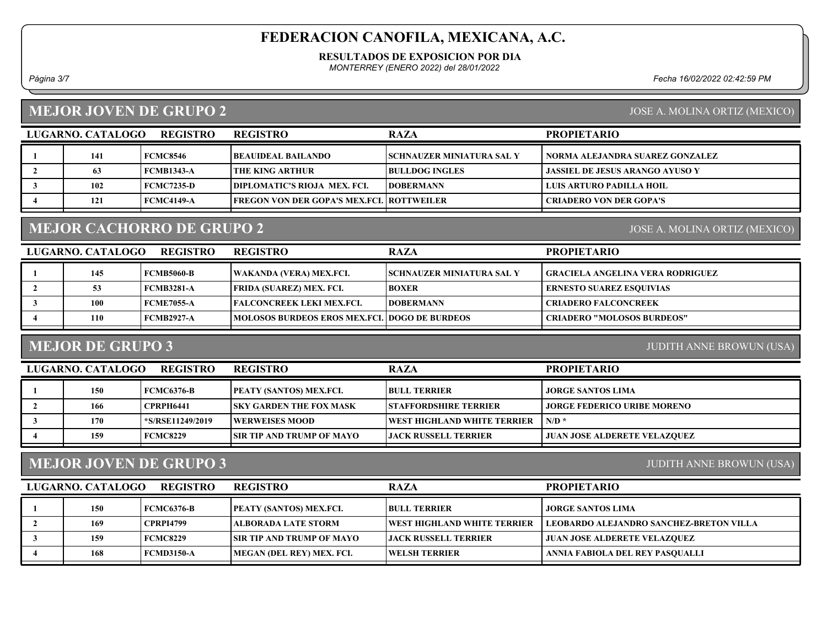#### RESULTADOS DE EXPOSICION POR DIA

MONTERREY (ENERO 2022) del 28/01/2022

Página 3/7 Fecha 16/02/2022 02:42:59 PM

# MEJOR JOVEN DE GRUPO 2

|  | JOSE A. MOLINA ORTIZ (MEXICO) |  |
|--|-------------------------------|--|
|  |                               |  |

| LUGARNO, CATALOGO | <b>REGISTRO</b>   | <b>REGISTRO</b>                             | <b>RAZA</b>                       | <b>PROPIETARIO</b>              |
|-------------------|-------------------|---------------------------------------------|-----------------------------------|---------------------------------|
| 141               | <b>FCMC8546</b>   | BEAUIDEAL BAILANDO_                         | <b>ISCHNAUZER MINIATURA SAL Y</b> | NORMA ALEJANDRA SUAREZ GONZALEZ |
|                   | <b>FCMB1343-A</b> | I THE KING ARTHUR-                          | <b>BULLDOG INGLES</b>             | JASSIEL DE JESUS ARANGO AYUSO Y |
| 102               | <b>FCMC7235-D</b> | <b>DIPLOMATIC'S RIOJA MEX. FCI.</b>         | <b>IDOBERMANN</b>                 | LUIS ARTURO PADILLA HOIL        |
| 121               | FCMC4149-A        | FREGON VON DER GOPA'S MEX.FCI.   ROTTWEILER |                                   | CRIADERO VON DER GOPA'S         |

# MEJOR CACHORRO DE GRUPO 2

JOSE A. MOLINA ORTIZ (MEXICO)

| LUGARNO. CATALOGO | <b>REGISTRO</b>   | <b>REGISTRO</b>                                      | <b>RAZA</b>                      | <b>PROPIETARIO</b>                |
|-------------------|-------------------|------------------------------------------------------|----------------------------------|-----------------------------------|
| 145               | <b>FCMB5060-B</b> | WAKANDA (VERA) MEX.FCI.                              | <b>SCHNAUZER MINIATURA SAL Y</b> | GRACIELA ANGELINA VERA RODRIGUEZ  |
|                   | <b>FCMB3281-A</b> | <b>[FRIDA (SUAREZ) MEX. FCI.</b>                     | <b>BOXER</b>                     | <b>ERNESTO SUAREZ ESQUIVIAS</b>   |
| <b>100</b>        | FCME7055-A        | <b>TEALCONCREEK LEKI MEX.FCL.</b>                    | <b>IDOBERMANN</b>                | <b>CRIADERO FALCONCREEK</b>       |
| 110               | FCMB2927-A        | <b>MOLOSOS BURDEOS EROS MEX.FCI. DOGO DE BURDEOS</b> |                                  | <b>CRIADERO "MOLOSOS BURDEOS"</b> |

## MEJOR DE GRUPO 3

JUDITH ANNE BROWUN (USA)

| LUGARNO. CATALOGO | <b>REGISTRO</b>  | <b>REGISTRO</b>                  | <b>RAZA</b>                   | <b>PROPIETARIO</b>                  |
|-------------------|------------------|----------------------------------|-------------------------------|-------------------------------------|
| 150               | FCMC6376-B       | <b> PEATY (SANTOS) MEX.FCI.</b>  | <b>BULL TERRIER</b>           | JORGE SANTOS LIMA                   |
| 166               | <b>CPRPH6441</b> | <b>SKY GARDEN THE FOX MASK</b>   | <b>ISTAFFORDSHIRE TERRIER</b> | <b>JORGE FEDERICO URIBE MORENO</b>  |
| 170               | *S/RSE11249/2019 | <b>EWERWEISES MOOD</b>           | WEST HIGHLAND WHITE TERRIER   | N/D                                 |
| 159               | <b>FCMC8229</b>  | <b>SIR TIP AND TRUMP OF MAYO</b> | <b>LIACK RUSSELL TERRIER</b>  | <b>JUAN JOSE ALDERETE VELAZQUEZ</b> |
|                   |                  |                                  |                               |                                     |

## MEJOR JOVEN DE GRUPO 3

JUDITH ANNE BROWUN (USA)

| LUGARNO. CATALOGO | <b>REGISTRO</b>  | <b>REGISTRO</b>                  | <b>RAZA</b>                         | <b>PROPIETARIO</b>                             |
|-------------------|------------------|----------------------------------|-------------------------------------|------------------------------------------------|
| <b>150</b>        | FCMC6376-B       | <b>PEATY (SANTOS) MEX.FCI.</b>   | <b>BULL TERRIER</b>                 | JORGE SANTOS LIMA                              |
| 169               | <b>CPRPI4799</b> | ALBORADA LATE STORM_             | <b>TWEST HIGHLAND WHITE TERRIER</b> | <b>LEOBARDO ALEJANDRO SANCHEZ-BRETON VILLA</b> |
| 159               | <b>FCMC8229</b>  | <b>SIR TIP AND TRUMP OF MAYO</b> | <b>LIACK RUSSELL TERRIER</b>        | <b>JUAN JOSE ALDERETE VELAZQUEZ</b>            |
| 168               | FCMD3150-A       | MEGAN (DEL REY) MEX. FCI.        | <b>WELSH TERRIER</b>                | ANNIA FABIOLA DEL REY PASQUALLI                |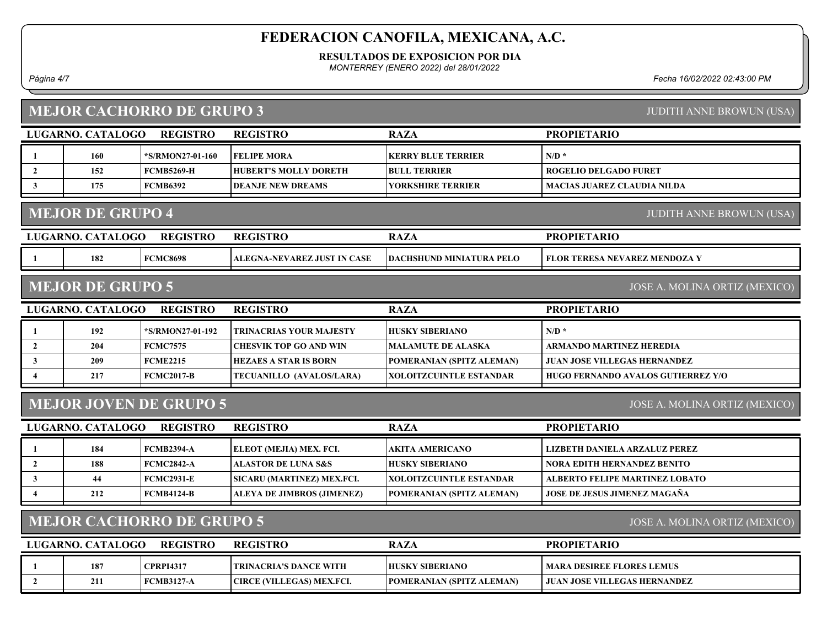### RESULTADOS DE EXPOSICION POR DIA

MONTERREY (ENERO 2022) del 28/01/2022

## MEJOR CACHORRO DE GRUPO 3

Página 4/7 Fecha 16/02/2022 02:43:00 PM

| <b>MEJOR CACHORRO DE GRUPO 3</b><br><b>JUDITH ANNE BROWUN (USA)</b> |                          |                                  |                                  |                                 |                                           |  |
|---------------------------------------------------------------------|--------------------------|----------------------------------|----------------------------------|---------------------------------|-------------------------------------------|--|
|                                                                     | <b>LUGARNO. CATALOGO</b> | <b>REGISTRO</b>                  | <b>REGISTRO</b>                  | <b>RAZA</b>                     | <b>PROPIETARIO</b>                        |  |
| 1                                                                   | 160                      | *S/RMON27-01-160                 | <b>FELIPE MORA</b>               | <b>KERRY BLUE TERRIER</b>       | $N/D$ *                                   |  |
| $\mathbf{2}$                                                        | 152                      | <b>FCMB5269-H</b>                | <b>HUBERT'S MOLLY DORETH</b>     | <b>BULL TERRIER</b>             | <b>ROGELIO DELGADO FURET</b>              |  |
| $\mathbf{3}$                                                        | 175                      | <b>FCMB6392</b>                  | <b>DEANJE NEW DREAMS</b>         | YORKSHIRE TERRIER               | <b>MACIAS JUAREZ CLAUDIA NILDA</b>        |  |
|                                                                     | <b>MEJOR DE GRUPO 4</b>  |                                  |                                  |                                 | <b>JUDITH ANNE BROWUN (USA)</b>           |  |
|                                                                     |                          |                                  |                                  |                                 |                                           |  |
|                                                                     | LUGARNO. CATALOGO        | <b>REGISTRO</b>                  | <b>REGISTRO</b>                  | <b>RAZA</b>                     | <b>PROPIETARIO</b>                        |  |
|                                                                     | 182                      | <b>FCMC8698</b>                  | ALEGNA-NEVAREZ JUST IN CASE      | <b>DACHSHUND MINIATURA PELO</b> | FLOR TERESA NEVAREZ MENDOZA Y             |  |
|                                                                     | <b>MEJOR DE GRUPO 5</b>  |                                  |                                  |                                 | JOSE A. MOLINA ORTIZ (MEXICO)             |  |
|                                                                     | LUGARNO. CATALOGO        | <b>REGISTRO</b>                  | <b>REGISTRO</b>                  | <b>RAZA</b>                     | <b>PROPIETARIO</b>                        |  |
| 1                                                                   | 192                      | *S/RMON27-01-192                 | <b>TRINACRIAS YOUR MAJESTY</b>   | <b>HUSKY SIBERIANO</b>          | $N/D$ *                                   |  |
| $\overline{2}$                                                      | 204                      | <b>FCMC7575</b>                  | <b>CHESVIK TOP GO AND WIN</b>    | <b>MALAMUTE DE ALASKA</b>       | <b>ARMANDO MARTINEZ HEREDIA</b>           |  |
| $\mathbf{3}$                                                        | 209                      | <b>FCME2215</b>                  | <b>HEZAES A STAR IS BORN</b>     | POMERANIAN (SPITZ ALEMAN)       | <b>JUAN JOSE VILLEGAS HERNANDEZ</b>       |  |
| 4                                                                   | 217                      | FCMC2017-B                       | TECUANILLO (AVALOS/LARA)         | <b>XOLOITZCUINTLE ESTANDAR</b>  | <b>HUGO FERNANDO AVALOS GUTIERREZ Y/O</b> |  |
|                                                                     |                          | <b>MEJOR JOVEN DE GRUPO 5</b>    |                                  |                                 | JOSE A. MOLINA ORTIZ (MEXICO)             |  |
|                                                                     | LUGARNO. CATALOGO        | <b>REGISTRO</b>                  | <b>REGISTRO</b>                  | <b>RAZA</b>                     | <b>PROPIETARIO</b>                        |  |
| 1                                                                   | 184                      | <b>FCMB2394-A</b>                | ELEOT (MEJIA) MEX. FCI.          | <b>AKITA AMERICANO</b>          | LIZBETH DANIELA ARZALUZ PEREZ             |  |
| $\overline{2}$                                                      | 188                      | <b>FCMC2842-A</b>                | <b>ALASTOR DE LUNA S&amp;S</b>   | <b>HUSKY SIBERIANO</b>          | <b>NORA EDITH HERNANDEZ BENITO</b>        |  |
| $\mathbf{3}$                                                        | 44                       | <b>FCMC2931-E</b>                | SICARU (MARTINEZ) MEX.FCI.       | <b>XOLOITZCUINTLE ESTANDAR</b>  | <b>ALBERTO FELIPE MARTINEZ LOBATO</b>     |  |
| $\overline{4}$                                                      | 212                      | <b>FCMB4124-B</b>                | ALEYA DE JIMBROS (JIMENEZ)       | POMERANIAN (SPITZ ALEMAN)       | JOSE DE JESUS JIMENEZ MAGAÑA              |  |
|                                                                     |                          | <b>MEJOR CACHORRO DE GRUPO 5</b> |                                  |                                 | JOSE A. MOLINA ORTIZ (MEXICO)             |  |
|                                                                     |                          |                                  |                                  |                                 |                                           |  |
|                                                                     | LUGARNO. CATALOGO        | <b>REGISTRO</b>                  | <b>REGISTRO</b>                  | <b>RAZA</b>                     | <b>PROPIETARIO</b>                        |  |
| $\mathbf{1}$                                                        | 187                      | <b>CPRPI4317</b>                 | <b>TRINACRIA'S DANCE WITH</b>    | <b>HUSKY SIBERIANO</b>          | <b>MARA DESIREE FLORES LEMUS</b>          |  |
| $\overline{2}$                                                      | 211                      | <b>FCMB3127-A</b>                | <b>CIRCE (VILLEGAS) MEX.FCI.</b> | POMERANIAN (SPITZ ALEMAN)       | <b>JUAN JOSE VILLEGAS HERNANDEZ</b>       |  |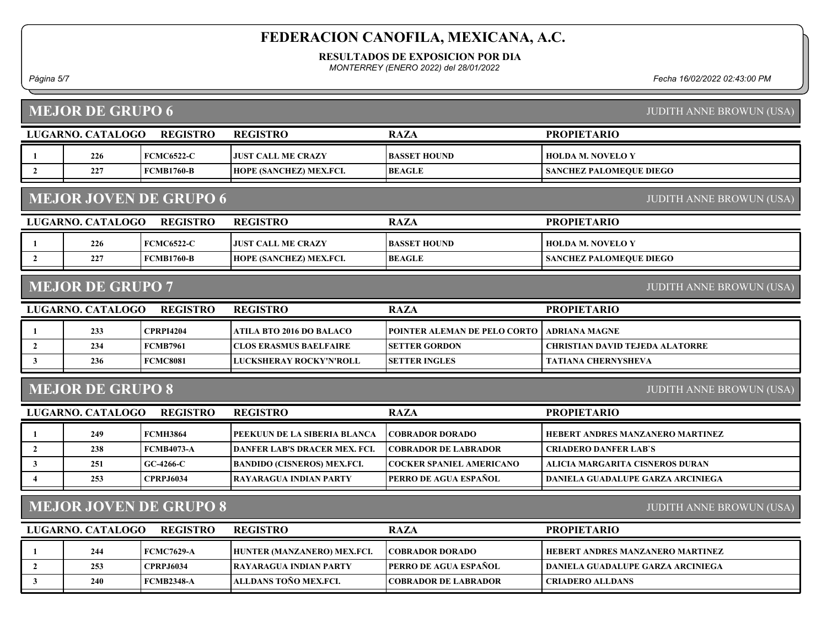### RESULTADOS DE EXPOSICION POR DIA

MONTERREY (ENERO 2022) del 28/01/2022

Página 5/7 Fecha 16/02/2022 02:43:00 PM

| <b>MEJOR DE GRUPO 6</b><br><b>JUDITH ANNE BROWUN (USA)</b>                                   |                   |                   |                                      |                                 |                                          |  |  |  |  |
|----------------------------------------------------------------------------------------------|-------------------|-------------------|--------------------------------------|---------------------------------|------------------------------------------|--|--|--|--|
|                                                                                              | LUGARNO. CATALOGO | <b>REGISTRO</b>   | <b>REGISTRO</b>                      | <b>RAZA</b>                     | <b>PROPIETARIO</b>                       |  |  |  |  |
| 1                                                                                            | 226               | <b>FCMC6522-C</b> | <b>JUST CALL ME CRAZY</b>            | <b>BASSET HOUND</b>             | <b>HOLDA M. NOVELO Y</b>                 |  |  |  |  |
| $\overline{2}$                                                                               | 227               | <b>FCMB1760-B</b> | HOPE (SANCHEZ) MEX.FCI.              | <b>BEAGLE</b>                   | SANCHEZ PALOMEQUE DIEGO                  |  |  |  |  |
| <b>MEJOR JOVEN DE GRUPO 6</b><br><b>JUDITH ANNE BROWUN (USA)</b>                             |                   |                   |                                      |                                 |                                          |  |  |  |  |
|                                                                                              | LUGARNO. CATALOGO | <b>REGISTRO</b>   | <b>REGISTRO</b>                      | <b>RAZA</b>                     | <b>PROPIETARIO</b>                       |  |  |  |  |
| 1                                                                                            | 226               | <b>FCMC6522-C</b> | <b>JUST CALL ME CRAZY</b>            | <b>BASSET HOUND</b>             | <b>HOLDA M. NOVELO Y</b>                 |  |  |  |  |
| $\overline{2}$                                                                               | 227               | <b>FCMB1760-B</b> | HOPE (SANCHEZ) MEX.FCI.              | <b>BEAGLE</b>                   | <b>SANCHEZ PALOMEQUE DIEGO</b>           |  |  |  |  |
| <b>MEJOR DE GRUPO 7</b><br><b>JUDITH ANNE BROWUN (USA)</b>                                   |                   |                   |                                      |                                 |                                          |  |  |  |  |
|                                                                                              | LUGARNO. CATALOGO | <b>REGISTRO</b>   | <b>REGISTRO</b>                      | <b>RAZA</b>                     | <b>PROPIETARIO</b>                       |  |  |  |  |
| $\mathbf{1}$                                                                                 | 233               | <b>CPRPI4204</b>  | <b>ATILA BTO 2016 DO BALACO</b>      | POINTER ALEMAN DE PELO CORTO    | <b>ADRIANA MAGNE</b>                     |  |  |  |  |
| $\overline{2}$                                                                               | 234               | <b>FCMB7961</b>   | <b>CLOS ERASMUS BAELFAIRE</b>        | <b>SETTER GORDON</b>            | <b>CHRISTIAN DAVID TEJEDA ALATORRE</b>   |  |  |  |  |
| $\mathbf{3}$                                                                                 | 236               | <b>FCMC8081</b>   | LUCKSHERAY ROCKY'N'ROLL              | <b>SETTER INGLES</b>            | <b>TATIANA CHERNYSHEVA</b>               |  |  |  |  |
| <b>MEJOR DE GRUPO 8</b><br><b>JUDITH ANNE BROWUN (USA)</b>                                   |                   |                   |                                      |                                 |                                          |  |  |  |  |
| LUGARNO. CATALOGO<br><b>REGISTRO</b>                                                         |                   |                   | <b>REGISTRO</b>                      | <b>RAZA</b>                     | <b>PROPIETARIO</b>                       |  |  |  |  |
| $\mathbf{1}$                                                                                 | 249               | <b>FCMH3864</b>   | PEEKUUN DE LA SIBERIA BLANCA         | <b>COBRADOR DORADO</b>          | HEBERT ANDRES MANZANERO MARTINEZ         |  |  |  |  |
| $\overline{2}$                                                                               | 238               | <b>FCMB4073-A</b> | <b>DANFER LAB'S DRACER MEX. FCI.</b> | <b>COBRADOR DE LABRADOR</b>     | <b>CRIADERO DANFER LAB'S</b>             |  |  |  |  |
| 3                                                                                            | 251               | $GC-4266-C$       | <b>BANDIDO (CISNEROS) MEX.FCI.</b>   | <b>COCKER SPANIEL AMERICANO</b> | ALICIA MARGARITA CISNEROS DURAN          |  |  |  |  |
| $\overline{4}$                                                                               | 253               | <b>CPRPJ6034</b>  | <b>RAYARAGUA INDIAN PARTY</b>        | PERRO DE AGUA ESPAÑOL           | DANIELA GUADALUPE GARZA ARCINIEGA        |  |  |  |  |
| <b>MEJOR JOVEN DE GRUPO 8</b><br><b>JUDITH ANNE BROWUN (USA)</b>                             |                   |                   |                                      |                                 |                                          |  |  |  |  |
| <b>PROPIETARIO</b><br>LUGARNO. CATALOGO<br><b>REGISTRO</b><br><b>REGISTRO</b><br><b>RAZA</b> |                   |                   |                                      |                                 |                                          |  |  |  |  |
| $\mathbf{1}$                                                                                 | 244               | <b>FCMC7629-A</b> | HUNTER (MANZANERO) MEX.FCI.          | <b>COBRADOR DORADO</b>          | HEBERT ANDRES MANZANERO MARTINEZ         |  |  |  |  |
| $\overline{2}$                                                                               | 253               | <b>CPRPJ6034</b>  | <b>RAYARAGUA INDIAN PARTY</b>        | PERRO DE AGUA ESPAÑOL           | <b>DANIELA GUADALUPE GARZA ARCINIEGA</b> |  |  |  |  |
| $\mathbf{3}$                                                                                 | 240               | <b>FCMB2348-A</b> | ALLDANS TOÑO MEX.FCI.                | <b>COBRADOR DE LABRADOR</b>     | <b>CRIADERO ALLDANS</b>                  |  |  |  |  |
|                                                                                              |                   |                   |                                      |                                 |                                          |  |  |  |  |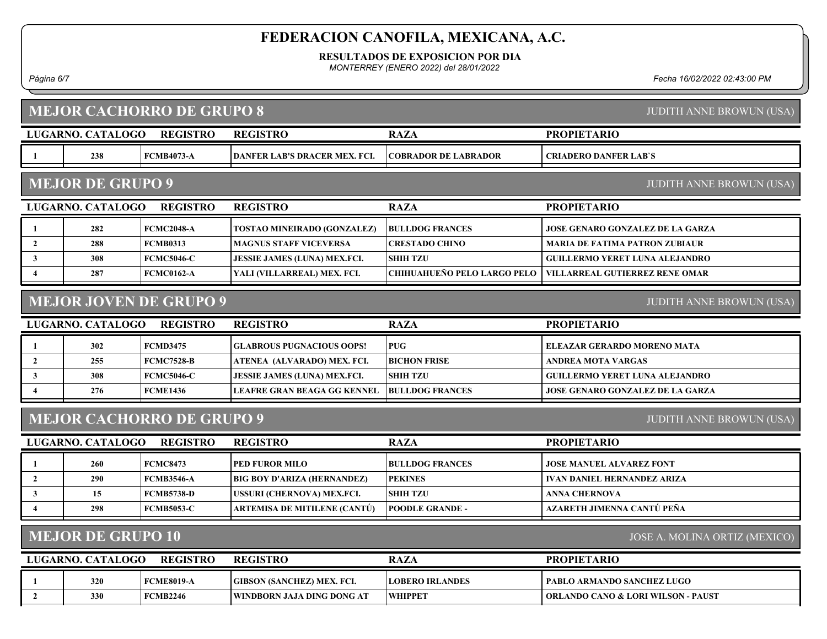RESULTADOS DE EXPOSICION POR DIA

MONTERREY (ENERO 2022) del 28/01/2022

Página 6/7 Fecha 16/02/2022 02:43:00 PM

| <b>MEJOR CACHORRO DE GRUPO 8</b><br><b>JUDITH ANNE BROWUN (USA)</b> |                                                                     |                   |                                     |                             |                                               |  |  |  |  |
|---------------------------------------------------------------------|---------------------------------------------------------------------|-------------------|-------------------------------------|-----------------------------|-----------------------------------------------|--|--|--|--|
|                                                                     | <b>LUGARNO. CATALOGO</b>                                            | <b>REGISTRO</b>   | <b>REGISTRO</b>                     | <b>RAZA</b>                 | <b>PROPIETARIO</b>                            |  |  |  |  |
| 1                                                                   | 238                                                                 | <b>FCMB4073-A</b> | DANFER LAB'S DRACER MEX. FCI.       | <b>COBRADOR DE LABRADOR</b> | <b>CRIADERO DANFER LAB'S</b>                  |  |  |  |  |
|                                                                     | <b>MEJOR DE GRUPO 9</b><br><b>JUDITH ANNE BROWUN (USA)</b>          |                   |                                     |                             |                                               |  |  |  |  |
|                                                                     | LUGARNO. CATALOGO                                                   | <b>REGISTRO</b>   | <b>REGISTRO</b>                     | <b>RAZA</b>                 | <b>PROPIETARIO</b>                            |  |  |  |  |
| 1                                                                   | 282                                                                 | <b>FCMC2048-A</b> | <b>TOSTAO MINEIRADO (GONZALEZ)</b>  | <b>BULLDOG FRANCES</b>      | <b>JOSE GENARO GONZALEZ DE LA GARZA</b>       |  |  |  |  |
| $\overline{2}$                                                      | 288                                                                 | <b>FCMB0313</b>   | <b>MAGNUS STAFF VICEVERSA</b>       | <b>CRESTADO CHINO</b>       | <b>MARIA DE FATIMA PATRON ZUBIAUR</b>         |  |  |  |  |
| $\mathbf{3}$                                                        | 308                                                                 | <b>FCMC5046-C</b> | <b>JESSIE JAMES (LUNA) MEX.FCI.</b> | <b>SHIH TZU</b>             | <b>GUILLERMO YERET LUNA ALEJANDRO</b>         |  |  |  |  |
| $\overline{\mathbf{4}}$                                             | 287                                                                 | <b>FCMC0162-A</b> | YALI (VILLARREAL) MEX. FCI.         | CHIHUAHUEÑO PELO LARGO PELO | <b>VILLARREAL GUTIERREZ RENE OMAR</b>         |  |  |  |  |
|                                                                     | <b>MEJOR JOVEN DE GRUPO 9</b><br><b>JUDITH ANNE BROWUN (USA)</b>    |                   |                                     |                             |                                               |  |  |  |  |
|                                                                     | LUGARNO. CATALOGO                                                   | <b>REGISTRO</b>   | <b>REGISTRO</b>                     | <b>RAZA</b>                 | <b>PROPIETARIO</b>                            |  |  |  |  |
| 1                                                                   | 302                                                                 | <b>FCMD3475</b>   | <b>GLABROUS PUGNACIOUS OOPS!</b>    | <b>PUG</b>                  | ELEAZAR GERARDO MORENO MATA                   |  |  |  |  |
| $\overline{2}$                                                      | 255                                                                 | <b>FCMC7528-B</b> | ATENEA (ALVARADO) MEX. FCI.         | <b>BICHON FRISE</b>         | <b>ANDREA MOTA VARGAS</b>                     |  |  |  |  |
| $\mathbf{3}$                                                        | 308                                                                 | <b>FCMC5046-C</b> | JESSIE JAMES (LUNA) MEX.FCI.        | <b>SHIH TZU</b>             | <b>GUILLERMO YERET LUNA ALEJANDRO</b>         |  |  |  |  |
| $\overline{\mathbf{4}}$                                             | 276                                                                 | <b>FCME1436</b>   | <b>LEAFRE GRAN BEAGA GG KENNEL</b>  | <b>BULLDOG FRANCES</b>      | <b>JOSE GENARO GONZALEZ DE LA GARZA</b>       |  |  |  |  |
|                                                                     | <b>MEJOR CACHORRO DE GRUPO 9</b><br><b>JUDITH ANNE BROWUN (USA)</b> |                   |                                     |                             |                                               |  |  |  |  |
|                                                                     | LUGARNO. CATALOGO                                                   | <b>REGISTRO</b>   | <b>REGISTRO</b>                     | <b>RAZA</b>                 | <b>PROPIETARIO</b>                            |  |  |  |  |
| 1                                                                   | 260                                                                 | <b>FCMC8473</b>   | PED FUROR MILO                      | <b>BULLDOG FRANCES</b>      | <b>JOSE MANUEL ALVAREZ FONT</b>               |  |  |  |  |
| $\overline{2}$                                                      | 290                                                                 | <b>FCMB3546-A</b> | <b>BIG BOY D'ARIZA (HERNANDEZ)</b>  | <b>PEKINES</b>              | <b>IVAN DANIEL HERNANDEZ ARIZA</b>            |  |  |  |  |
| $\mathbf{3}$                                                        | 15                                                                  | <b>FCMB5738-D</b> | USSURI (CHERNOVA) MEX.FCI.          | <b>SHIH TZU</b>             | <b>ANNA CHERNOVA</b>                          |  |  |  |  |
| $\overline{\mathbf{4}}$                                             | 298                                                                 | <b>FCMB5053-C</b> | ARTEMISA DE MITILENE (CANTÚ)        | <b>POODLE GRANDE -</b>      | AZARETH JIMENNA CANTÚ PEÑA                    |  |  |  |  |
| <b>MEJOR DE GRUPO 10</b><br>JOSE A. MOLINA ORTIZ (MEXICO)           |                                                                     |                   |                                     |                             |                                               |  |  |  |  |
|                                                                     | LUGARNO. CATALOGO                                                   | <b>REGISTRO</b>   | <b>REGISTRO</b>                     | <b>RAZA</b>                 | <b>PROPIETARIO</b>                            |  |  |  |  |
| 1                                                                   | 320                                                                 | <b>FCME8019-A</b> | <b>GIBSON (SANCHEZ) MEX. FCI.</b>   | <b>LOBERO IRLANDES</b>      | PABLO ARMANDO SANCHEZ LUGO                    |  |  |  |  |
| $\overline{2}$                                                      | 330                                                                 | <b>FCMB2246</b>   | WINDBORN JAJA DING DONG AT          | <b>WHIPPET</b>              | <b>ORLANDO CANO &amp; LORI WILSON - PAUST</b> |  |  |  |  |